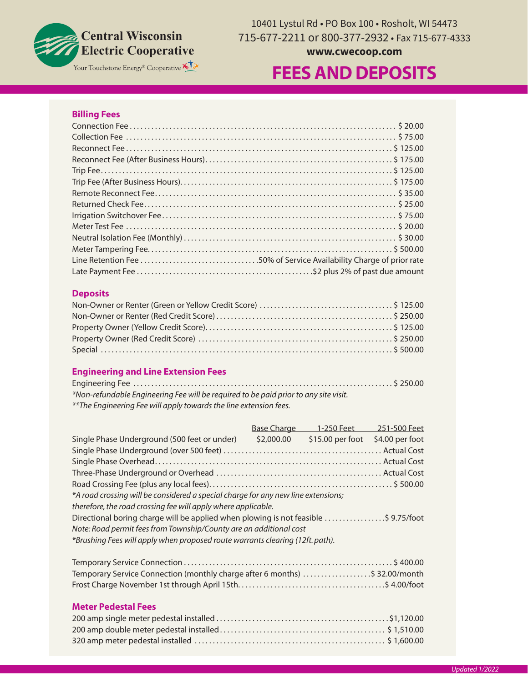

10401 Lystul Rd • PO Box 100 • Rosholt, WI 54473 715-677-2211 or 800-377-2932 • Fax 715-677-4333

## **www.cwecoop.com**

# Your Touchstone Energy® Cooperative **KLX**<br>
FEES AND DEPOSITS

#### **Billing Fees**

| S 500.00 |  |
|----------|--|
|          |  |
|          |  |

#### **Deposits**

#### **Engineering and Line Extension Fees**

| *Non-refundable Engineering Fee will be required to be paid prior to any site visit. |  |
|--------------------------------------------------------------------------------------|--|
| ** The Engineering Fee will apply towards the line extension fees.                   |  |

| <b>Base Charge</b> | 1-250 Feet                                                    | 251-500 Feet                                                                                                                                                                                                                                                                                                                    |
|--------------------|---------------------------------------------------------------|---------------------------------------------------------------------------------------------------------------------------------------------------------------------------------------------------------------------------------------------------------------------------------------------------------------------------------|
| \$2,000.00         | \$15.00 per foot \$4.00 per foot                              |                                                                                                                                                                                                                                                                                                                                 |
|                    |                                                               |                                                                                                                                                                                                                                                                                                                                 |
|                    |                                                               |                                                                                                                                                                                                                                                                                                                                 |
|                    |                                                               |                                                                                                                                                                                                                                                                                                                                 |
|                    |                                                               |                                                                                                                                                                                                                                                                                                                                 |
|                    |                                                               |                                                                                                                                                                                                                                                                                                                                 |
|                    |                                                               |                                                                                                                                                                                                                                                                                                                                 |
|                    |                                                               |                                                                                                                                                                                                                                                                                                                                 |
|                    |                                                               |                                                                                                                                                                                                                                                                                                                                 |
|                    |                                                               |                                                                                                                                                                                                                                                                                                                                 |
|                    | therefore, the road crossing fee will apply where applicable. | *A road crossing will be considered a special charge for any new line extensions;<br>Directional boring charge will be applied when plowing is not feasible \$ 9.75/foot<br>Note: Road permit fees from Township/County are an additional cost<br>*Brushing Fees will apply when proposed route warrants clearing (12ft. path). |

| 5 400.00 \$ 400.00 \$ 400.00 \$ 400.00 \$ 400.00 \$ 400.00 \$ 400.00 \$ 400.00 \$ 400.00 \$ 400.00 \$ 400.00 \$ 400.00 \$ |  |
|---------------------------------------------------------------------------------------------------------------------------|--|
| Temporary Service Connection (monthly charge after 6 months) \$ 32.00/month                                               |  |
|                                                                                                                           |  |

#### **Meter Pedestal Fees**